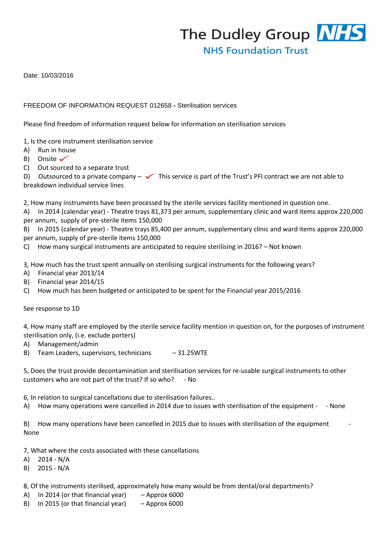The Dudley Group NHS **NHS Foundation Trust** 

Date: 10/03/2016

## FREEDOM OF INFORMATION REQUEST 012658 **-** Sterilisation services

Please find freedom of information request below for information on sterilisation services

1, Is the core instrument sterilisation service

- A) Run in house
- B) Onsite  $\checkmark$
- C) Out sourced to a separate trust

D) Outsourced to a private company  $-\checkmark$  This service is part of the Trust's PFI contract we are not able to breakdown individual service lines

2, How many instruments have been processed by the sterile services facility mentioned in question one.

A) In 2014 (calendar year) - Theatre trays 81,373 per annum, supplementary clinic and ward items approx 220,000 per annum, supply of pre-sterile items 150,000

B) In 2015 (calendar year) - Theatre trays 85,400 per annum, supplementary clinic and ward items approx 220,000 per annum, supply of pre-sterile items 150,000

C) How many surgical instruments are anticipated to require sterilising in 2016? – Not known

3, How much has the trust spent annually on sterilising surgical instruments for the following years?

- A) Financial year 2013/14
- B) Financial year 2014/15
- C) How much has been budgeted or anticipated to be spent for the Financial year 2015/2016

See response to 1D

4, How many staff are employed by the sterile service facility mention in question on, for the purposes of instrument sterilisation only, (i.e. exclude porters)

- A) Management/admin
- B) Team Leaders, supervisors, technicians 31.25WTE

5, Does the trust provide decontamination and sterilisation services for re-usable surgical instruments to other customers who are not part of the trust? If so who? - No

6, In relation to surgical cancellations due to sterilisation failures..

A) How many operations were cancelled in 2014 due to issues with sterilisation of the equipment - - None

B) How many operations have been cancelled in 2015 due to issues with sterilisation of the equipment None

7, What where the costs associated with these cancellations

A) 2014 - N/A

B) 2015 - N/A

8, Of the instruments sterilised, approximately how many would be from dental/oral departments?

- A) In 2014 (or that financial year) Approx 6000
- B) In 2015 (or that financial year) Approx 6000